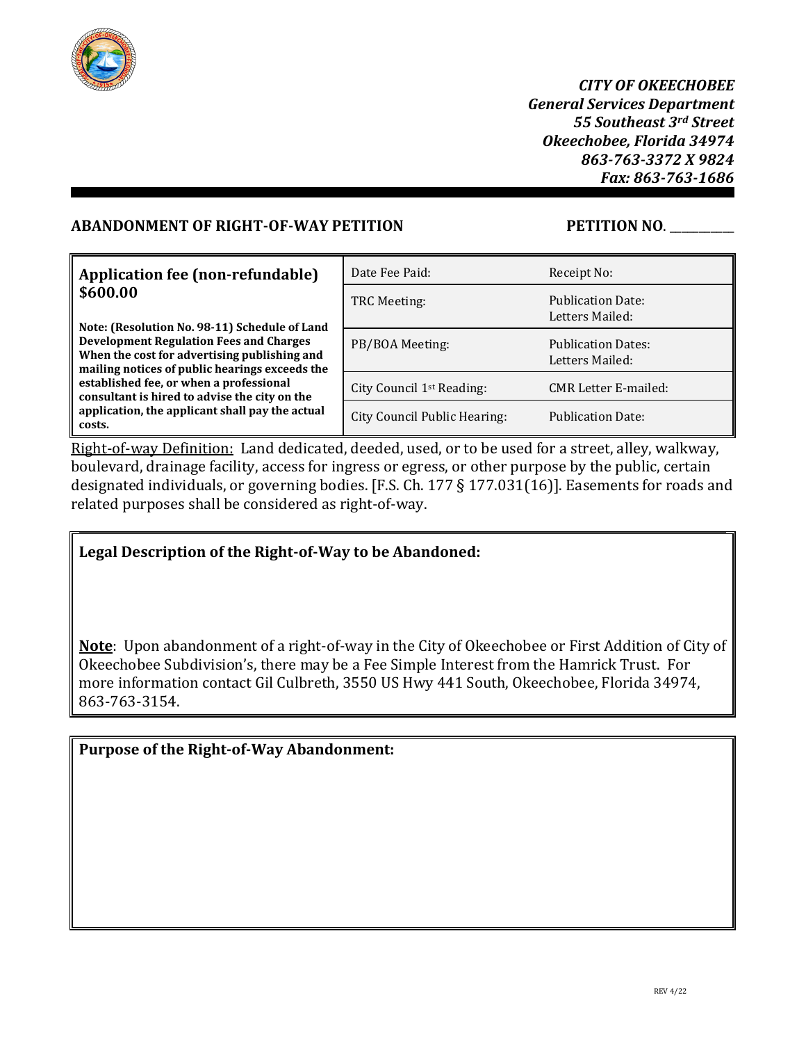

*CITY OF OKEECHOBEE General Services Department 55 Southeast 3rd Street Okeechobee, Florida 34974 863-763-3372 X 9824 Fax: 863-763-1686*

## **ABANDONMENT OF RIGHT-OF-WAY PETITION PETITION NO**. \_\_\_\_\_\_\_\_\_\_\_

| Application fee (non-refundable)                                                                                                                                                                  | Date Fee Paid:                        | Receipt No:                                  |
|---------------------------------------------------------------------------------------------------------------------------------------------------------------------------------------------------|---------------------------------------|----------------------------------------------|
| \$600.00                                                                                                                                                                                          | TRC Meeting:                          | <b>Publication Date:</b><br>Letters Mailed:  |
| Note: (Resolution No. 98-11) Schedule of Land<br><b>Development Regulation Fees and Charges</b><br>When the cost for advertising publishing and<br>mailing notices of public hearings exceeds the | PB/BOA Meeting:                       | <b>Publication Dates:</b><br>Letters Mailed: |
| established fee, or when a professional<br>consultant is hired to advise the city on the                                                                                                          | City Council 1 <sup>st</sup> Reading: | <b>CMR Letter E-mailed:</b>                  |
| application, the applicant shall pay the actual<br>costs.                                                                                                                                         | City Council Public Hearing:          | <b>Publication Date:</b>                     |

Right-of-way Definition: Land dedicated, deeded, used, or to be used for a street, alley, walkway, boulevard, drainage facility, access for ingress or egress, or other purpose by the public, certain designated individuals, or governing bodies. [F.S. Ch. 177 § 177.031(16)]. Easements for roads and related purposes shall be considered as right-of-way.

## **Legal Description of the Right-of-Way to be Abandoned:**

**Note**: Upon abandonment of a right-of-way in the City of Okeechobee or First Addition of City of Okeechobee Subdivision's, there may be a Fee Simple Interest from the Hamrick Trust. For more information contact Gil Culbreth, 3550 US Hwy 441 South, Okeechobee, Florida 34974, 863-763-3154.

# **Purpose of the Right-of-Way Abandonment:**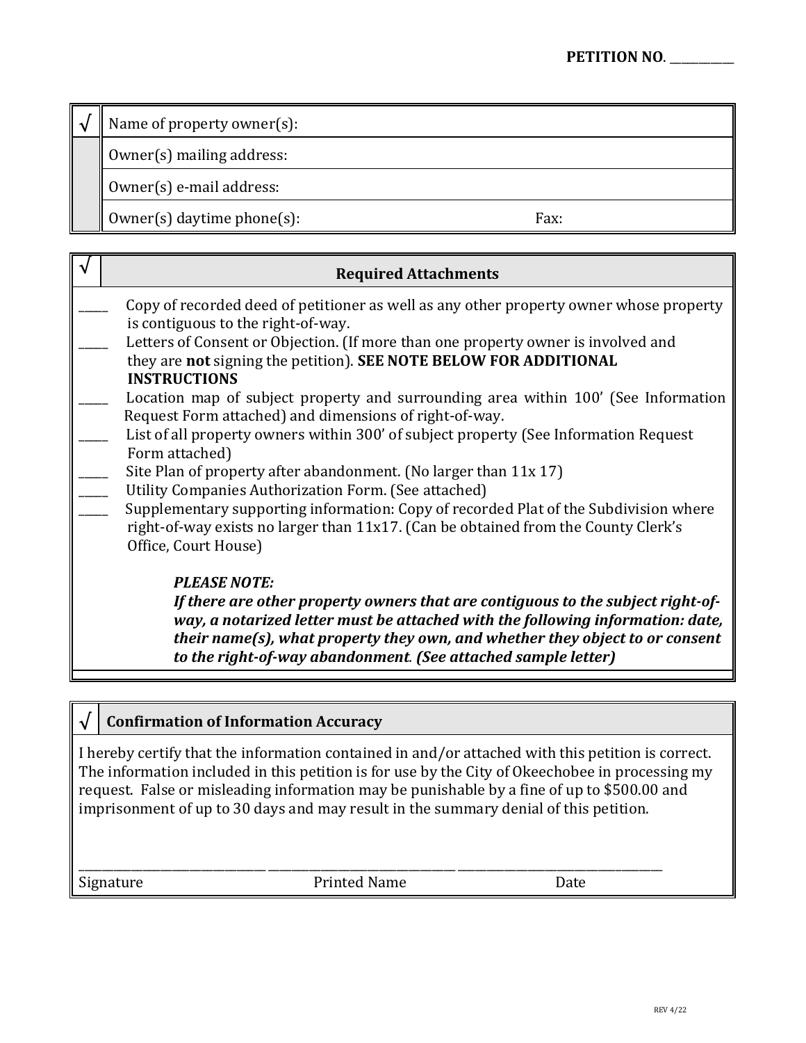Name of property owner(s):

Owner(s) mailing address:

Owner(s) e-mail address:

Owner(s) daytime phone(s): Fax:

| <b>Required Attachments</b>                                                                                                                                                |
|----------------------------------------------------------------------------------------------------------------------------------------------------------------------------|
| Copy of recorded deed of petitioner as well as any other property owner whose property                                                                                     |
| is contiguous to the right-of-way.<br>Letters of Consent or Objection. (If more than one property owner is involved and                                                    |
| they are not signing the petition). SEE NOTE BELOW FOR ADDITIONAL                                                                                                          |
| <b>INSTRUCTIONS</b>                                                                                                                                                        |
| Location map of subject property and surrounding area within 100' (See Information                                                                                         |
| Request Form attached) and dimensions of right-of-way.<br>List of all property owners within 300' of subject property (See Information Request                             |
| Form attached)                                                                                                                                                             |
| Site Plan of property after abandonment. (No larger than $11x 17$ )                                                                                                        |
| Utility Companies Authorization Form. (See attached)                                                                                                                       |
| Supplementary supporting information: Copy of recorded Plat of the Subdivision where<br>right-of-way exists no larger than 11x17. (Can be obtained from the County Clerk's |
| Office, Court House)                                                                                                                                                       |
| <b>PLEASE NOTE:</b>                                                                                                                                                        |
| If there are other property owners that are contiguous to the subject right-of-                                                                                            |
| way, a notarized letter must be attached with the following information: date,                                                                                             |
| their name(s), what property they own, and whether they object to or consent<br>to the right-of-way abandonment. (See attached sample letter)                              |
|                                                                                                                                                                            |

# **√ Confirmation of Information Accuracy**

I hereby certify that the information contained in and/or attached with this petition is correct. The information included in this petition is for use by the City of Okeechobee in processing my request. False or misleading information may be punishable by a fine of up to \$500.00 and imprisonment of up to 30 days and may result in the summary denial of this petition.

\_\_\_\_\_\_\_\_\_\_\_\_\_\_\_\_\_\_\_\_\_\_\_\_\_\_\_\_\_\_\_\_\_\_\_\_\_\_\_\_\_\_\_\_\_\_\_\_\_\_\_\_\_\_\_\_\_\_\_\_\_\_\_\_\_\_\_\_\_\_\_\_\_\_\_\_\_\_\_\_\_\_\_\_\_\_\_\_\_\_\_\_\_\_\_\_\_\_\_ Signature **Printed Name** Date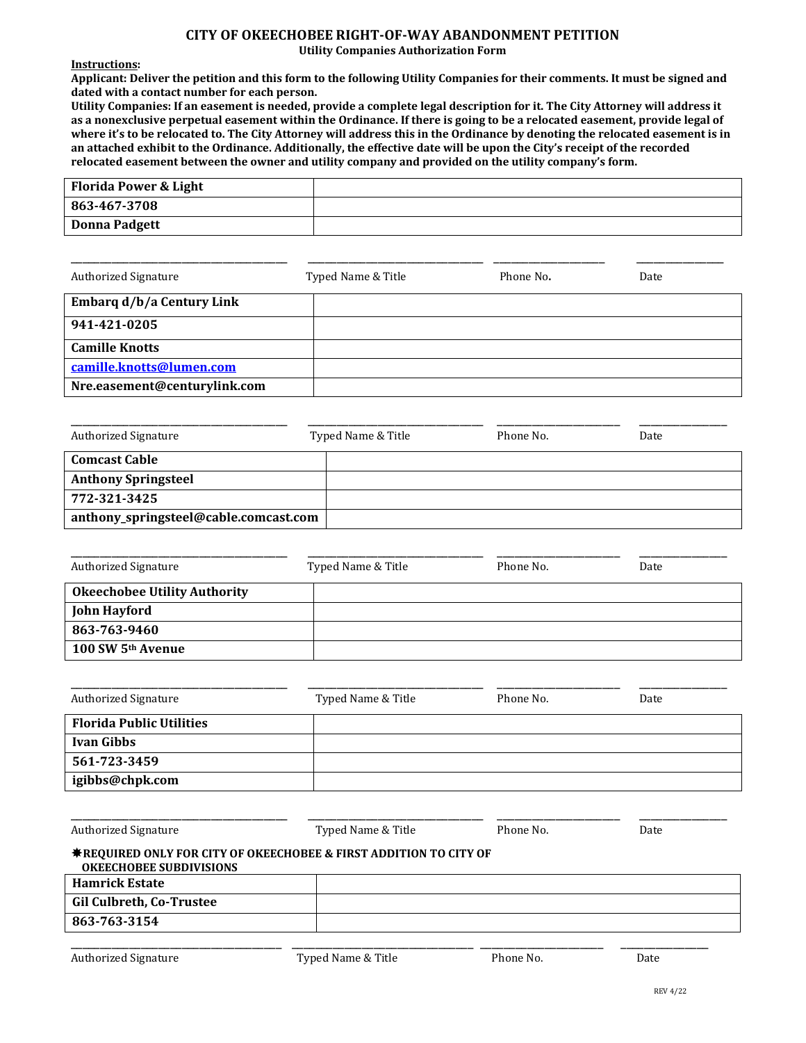### **CITY OF OKEECHOBEE RIGHT-OF-WAY ABANDONMENT PETITION**

**Utility Companies Authorization Form**

**Instructions:**

**Applicant: Deliver the petition and this form to the following Utility Companies for their comments. It must be signed and dated with a contact number for each person.**

**Utility Companies: If an easement is needed, provide a complete legal description for it. The City Attorney will address it as a nonexclusive perpetual easement within the Ordinance. If there is going to be a relocated easement, provide legal of where it's to be relocated to. The City Attorney will address this in the Ordinance by denoting the relocated easement is in an attached exhibit to the Ordinance. Additionally, the effective date will be upon the City's receipt of the recorded relocated easement between the owner and utility company and provided on the utility company's form.**

| <b>Florida Power &amp; Light</b> |  |
|----------------------------------|--|
| 863-467-3708                     |  |
| <b>Donna Padgett</b>             |  |

| <b>Authorized Signature</b>  | Typed Name & Title | Phone No. | Date |
|------------------------------|--------------------|-----------|------|
| Embarq d/b/a Century Link    |                    |           |      |
| 941-421-0205                 |                    |           |      |
| <b>Camille Knotts</b>        |                    |           |      |
| camille.knotts@lumen.com     |                    |           |      |
| Nre.easement@centurylink.com |                    |           |      |

| <b>Authorized Signature</b>           | Typed Name & Title | Phone No. | Date |
|---------------------------------------|--------------------|-----------|------|
| <b>Comcast Cable</b>                  |                    |           |      |
| <b>Anthony Springsteel</b>            |                    |           |      |
| 772-321-3425                          |                    |           |      |
| anthony_springsteel@cable.comcast.com |                    |           |      |

| <b>Authorized Signature</b>         | Typed Name & Title | Phone No. | Date |
|-------------------------------------|--------------------|-----------|------|
| <b>Okeechobee Utility Authority</b> |                    |           |      |
| <b>John Hayford</b>                 |                    |           |      |
| 863-763-9460                        |                    |           |      |
| 100 SW 5 <sup>th</sup> Avenue       |                    |           |      |

| <b>Authorized Signature</b>     | Typed Name & Title | Phone No. | Date |
|---------------------------------|--------------------|-----------|------|
| <b>Florida Public Utilities</b> |                    |           |      |
| <b>Ivan Gibbs</b>               |                    |           |      |
| 561-723-3459                    |                    |           |      |
| igibbs@chpk.com                 |                    |           |      |

| <b>Authorized Signature</b>                                                                                    | Typed Name & Title | Phone No. | Date |
|----------------------------------------------------------------------------------------------------------------|--------------------|-----------|------|
| <b>∗REQUIRED ONLY FOR CITY OF OKEECHOBEE &amp; FIRST ADDITION TO CITY OF</b><br><b>OKEECHOBEE SUBDIVISIONS</b> |                    |           |      |
| <b>Hamrick Estate</b>                                                                                          |                    |           |      |
| Gil Culbreth, Co-Trustee                                                                                       |                    |           |      |
| 863-763-3154                                                                                                   |                    |           |      |
|                                                                                                                |                    |           |      |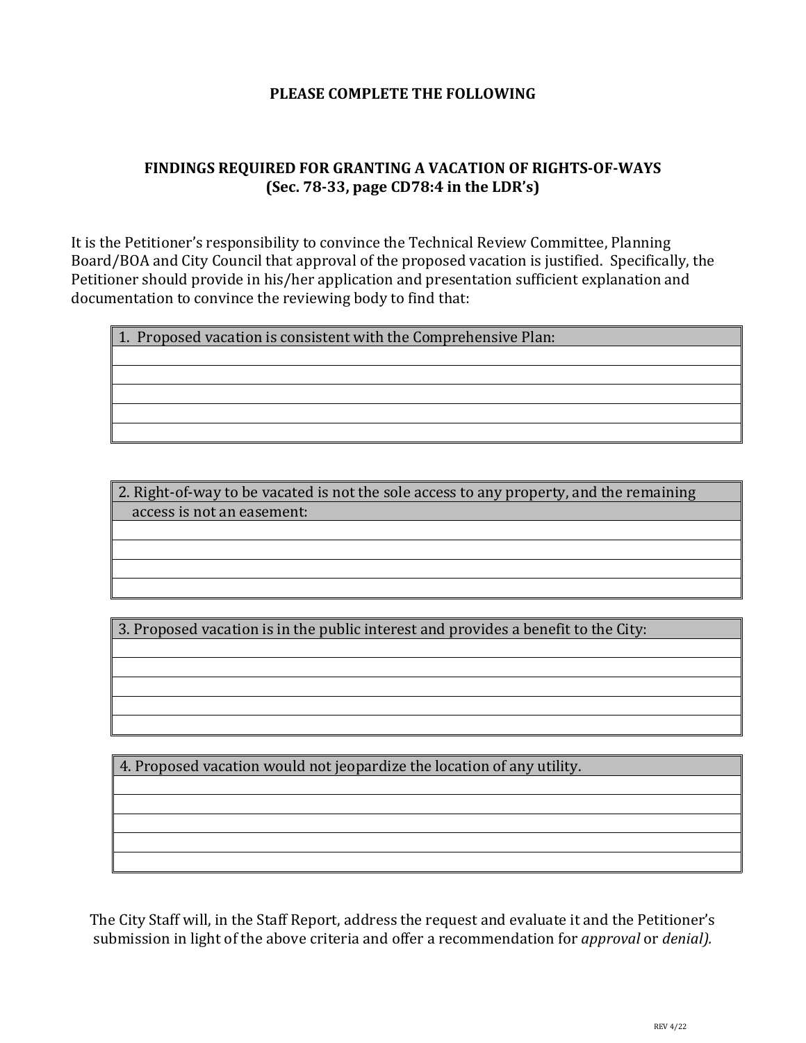## **PLEASE COMPLETE THE FOLLOWING**

## **FINDINGS REQUIRED FOR GRANTING A VACATION OF RIGHTS-OF-WAYS (Sec. 78-33, page CD78:4 in the LDR's)**

It is the Petitioner's responsibility to convince the Technical Review Committee, Planning Board/BOA and City Council that approval of the proposed vacation is justified. Specifically, the Petitioner should provide in his/her application and presentation sufficient explanation and documentation to convince the reviewing body to find that:

1. Proposed vacation is consistent with the Comprehensive Plan:

2. Right-of-way to be vacated is not the sole access to any property, and the remaining access is not an easement:

3. Proposed vacation is in the public interest and provides a benefit to the City:

4. Proposed vacation would not jeopardize the location of any utility.

The City Staff will, in the Staff Report, address the request and evaluate it and the Petitioner's submission in light of the above criteria and offer a recommendation for *approval* or *denial).*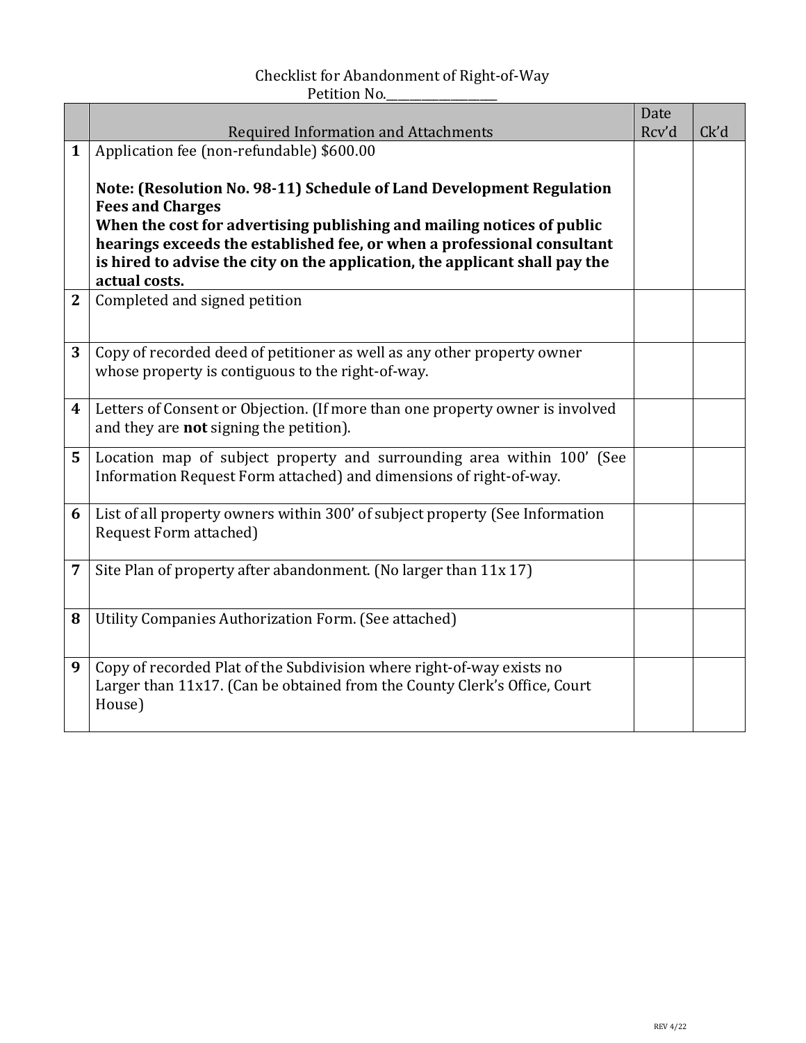## Checklist for Abandonment of Right-of-Way Petition No.

|              |                                                                                              | Date  |      |
|--------------|----------------------------------------------------------------------------------------------|-------|------|
|              | <b>Required Information and Attachments</b>                                                  | Rcv'd | Ck'd |
| $\mathbf{1}$ | Application fee (non-refundable) \$600.00                                                    |       |      |
|              |                                                                                              |       |      |
|              | Note: (Resolution No. 98-11) Schedule of Land Development Regulation                         |       |      |
|              | <b>Fees and Charges</b>                                                                      |       |      |
|              | When the cost for advertising publishing and mailing notices of public                       |       |      |
|              | hearings exceeds the established fee, or when a professional consultant                      |       |      |
|              | is hired to advise the city on the application, the applicant shall pay the<br>actual costs. |       |      |
| $\mathbf{2}$ | Completed and signed petition                                                                |       |      |
|              |                                                                                              |       |      |
|              |                                                                                              |       |      |
| 3            | Copy of recorded deed of petitioner as well as any other property owner                      |       |      |
|              | whose property is contiguous to the right-of-way.                                            |       |      |
|              |                                                                                              |       |      |
| 4            | Letters of Consent or Objection. (If more than one property owner is involved                |       |      |
|              | and they are <b>not</b> signing the petition).                                               |       |      |
| 5            | Location map of subject property and surrounding area within 100' (See                       |       |      |
|              | Information Request Form attached) and dimensions of right-of-way.                           |       |      |
|              |                                                                                              |       |      |
| 6            | List of all property owners within 300' of subject property (See Information                 |       |      |
|              | Request Form attached)                                                                       |       |      |
|              |                                                                                              |       |      |
| 7            | Site Plan of property after abandonment. (No larger than 11x 17)                             |       |      |
|              |                                                                                              |       |      |
| 8            | Utility Companies Authorization Form. (See attached)                                         |       |      |
|              |                                                                                              |       |      |
|              |                                                                                              |       |      |
| 9            | Copy of recorded Plat of the Subdivision where right-of-way exists no                        |       |      |
|              | Larger than 11x17. (Can be obtained from the County Clerk's Office, Court                    |       |      |
|              | House)                                                                                       |       |      |
|              |                                                                                              |       |      |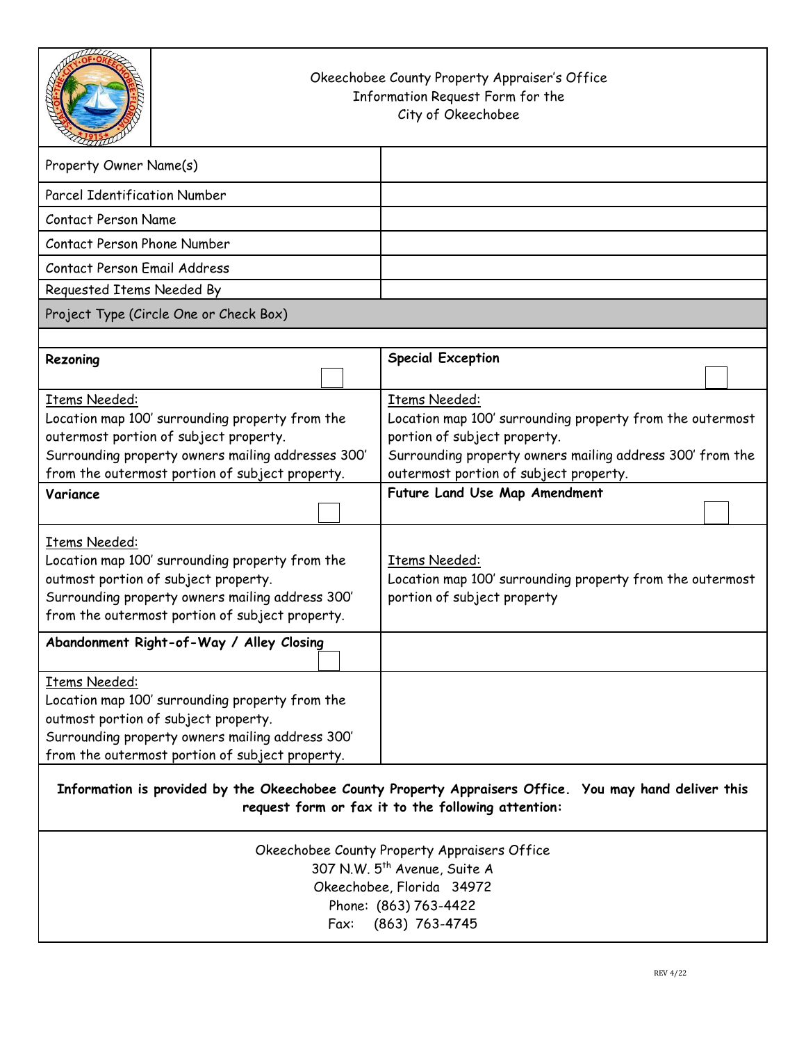| Okeechobee County Property Appraiser's Office<br>Information Request Form for the<br>City of Okeechobee                                                                                                                    |                                                                                                                                                                                                                          |  |
|----------------------------------------------------------------------------------------------------------------------------------------------------------------------------------------------------------------------------|--------------------------------------------------------------------------------------------------------------------------------------------------------------------------------------------------------------------------|--|
| Property Owner Name(s)                                                                                                                                                                                                     |                                                                                                                                                                                                                          |  |
| <b>Parcel Identification Number</b>                                                                                                                                                                                        |                                                                                                                                                                                                                          |  |
| <b>Contact Person Name</b>                                                                                                                                                                                                 |                                                                                                                                                                                                                          |  |
| Contact Person Phone Number                                                                                                                                                                                                |                                                                                                                                                                                                                          |  |
| Contact Person Email Address                                                                                                                                                                                               |                                                                                                                                                                                                                          |  |
| Requested Items Needed By                                                                                                                                                                                                  |                                                                                                                                                                                                                          |  |
| Project Type (Circle One or Check Box)                                                                                                                                                                                     |                                                                                                                                                                                                                          |  |
|                                                                                                                                                                                                                            |                                                                                                                                                                                                                          |  |
| Rezoning                                                                                                                                                                                                                   | <b>Special Exception</b>                                                                                                                                                                                                 |  |
| <b>Items Needed:</b><br>Location map 100' surrounding property from the<br>outermost portion of subject property.<br>Surrounding property owners mailing addresses 300'<br>from the outermost portion of subject property. | <b>Items Needed:</b><br>Location map 100' surrounding property from the outermost<br>portion of subject property.<br>Surrounding property owners mailing address 300' from the<br>outermost portion of subject property. |  |
| Variance                                                                                                                                                                                                                   | Future Land Use Map Amendment                                                                                                                                                                                            |  |
| Items Needed:<br>Location map 100' surrounding property from the<br>outmost portion of subject property.<br>Surrounding property owners mailing address 300'<br>from the outermost portion of subject property.            | Items Needed:<br>Location map 100' surrounding property from the outermost<br>portion of subject property                                                                                                                |  |
| Abandonment Right-of-Way / Alley Closing                                                                                                                                                                                   |                                                                                                                                                                                                                          |  |
| Items Needed:<br>Location map 100' surrounding property from the<br>outmost portion of subject property.<br>Surrounding property owners mailing address 300'<br>from the outermost portion of subject property.            |                                                                                                                                                                                                                          |  |
| Information is provided by the Okeechobee County Property Appraisers Office. You may hand deliver this<br>request form or fax it to the following attention:                                                               |                                                                                                                                                                                                                          |  |
| Okeechobee County Property Appraisers Office<br>307 N.W. 5 <sup>th</sup> Avenue, Suite A<br>Okeechobee, Florida 34972<br>Phone: (863) 763-4422<br>(863) 763-4745<br>Fax:                                                   |                                                                                                                                                                                                                          |  |